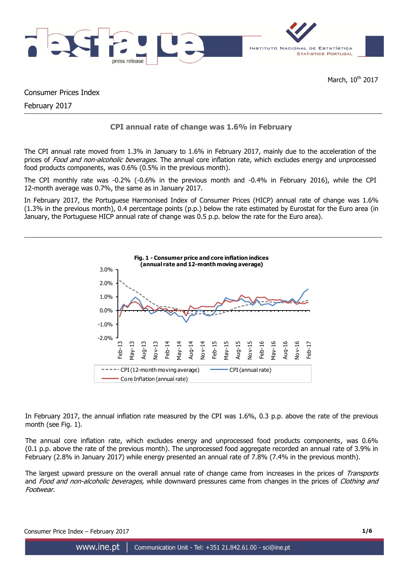

Consumer Prices Index

February 2017

## **CPI annual rate of change was 1.6% in February**

The CPI annual rate moved from 1.3% in January to 1.6% in February 2017, mainly due to the acceleration of the prices of Food and non-alcoholic beverages. The annual core inflation rate, which excludes energy and unprocessed food products components, was 0.6% (0.5% in the previous month).

The CPI monthly rate was -0.2% (-0.6% in the previous month and -0.4% in February 2016), while the CPI 12-month average was 0.7%, the same as in January 2017.

In February 2017, the Portuguese Harmonised Index of Consumer Prices (HICP) annual rate of change was 1.6% (1.3% in the previous month), 0.4 percentage points (p.p.) below the rate estimated by Eurostat for the Euro area (in January, the Portuguese HICP annual rate of change was 0.5 p.p. below the rate for the Euro area).



In February 2017, the annual inflation rate measured by the CPI was 1.6%, 0.3 p.p. above the rate of the previous month (see Fig. 1).

The annual core inflation rate, which excludes energy and unprocessed food products components, was 0.6% (0.1 p.p. above the rate of the previous month). The unprocessed food aggregate recorded an annual rate of 3.9% in February (2.8% in January 2017) while energy presented an annual rate of 7.8% (7.4% in the previous month).

The largest upward pressure on the overall annual rate of change came from increases in the prices of Transports and Food and non-alcoholic beverages, while downward pressures came from changes in the prices of Clothing and Footwear.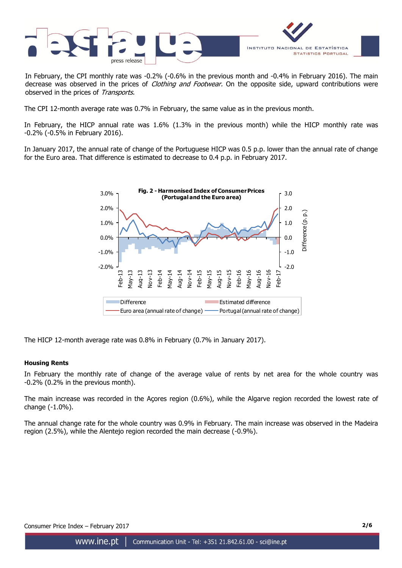

In February, the CPI monthly rate was -0.2% (-0.6% in the previous month and -0.4% in February 2016). The main decrease was observed in the prices of *Clothing and Footwear*. On the opposite side, upward contributions were observed in the prices of Transports.

The CPI 12-month average rate was 0.7% in February, the same value as in the previous month.

In February, the HICP annual rate was 1.6% (1.3% in the previous month) while the HICP monthly rate was -0.2% (-0.5% in February 2016).

In January 2017, the annual rate of change of the Portuguese HICP was 0.5 p.p. lower than the annual rate of change for the Euro area. That difference is estimated to decrease to 0.4 p.p. in February 2017.



The HICP 12-month average rate was 0.8% in February (0.7% in January 2017).

#### **Housing Rents**

In February the monthly rate of change of the average value of rents by net area for the whole country was -0.2% (0.2% in the previous month).

The main increase was recorded in the Açores region (0.6%), while the Algarve region recorded the lowest rate of change (-1.0%).

The annual change rate for the whole country was 0.9% in February. The main increase was observed in the Madeira region (2.5%), while the Alentejo region recorded the main decrease (-0.9%).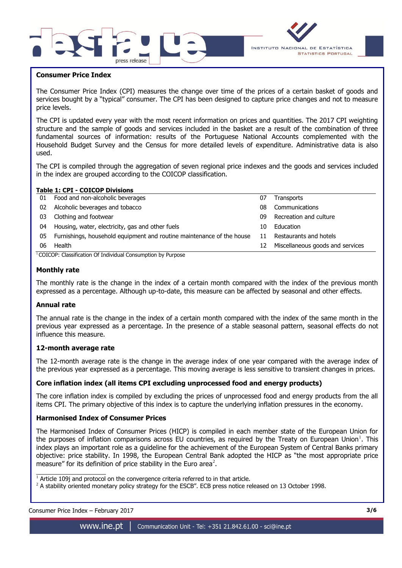



#### **Consumer Price Index**

The Consumer Price Index (CPI) measures the change over time of the prices of a certain basket of goods and services bought by a "typical" consumer. The CPI has been designed to capture price changes and not to measure price levels.

The CPI is updated every year with the most recent information on prices and quantities. The 2017 CPI weighting structure and the sample of goods and services included in the basket are a result of the combination of three fundamental sources of information: results of the Portuguese National Accounts complemented with the Household Budget Survey and the Census for more detailed levels of expenditure. Administrative data is also used.

The CPI is compiled through the aggregation of seven regional price indexes and the goods and services included in the index are grouped according to the COICOP classification.

#### **Table 1: CPI - COICOP Divisions**

| 01                                                                       | Food and non-alcoholic beverages                                      | 07 | Transports                       |  |  |  |  |  |  |
|--------------------------------------------------------------------------|-----------------------------------------------------------------------|----|----------------------------------|--|--|--|--|--|--|
| 02                                                                       | Alcoholic beverages and tobacco                                       | 08 | Communications                   |  |  |  |  |  |  |
| 03                                                                       | Clothing and footwear                                                 | 09 | Recreation and culture           |  |  |  |  |  |  |
| 04                                                                       | Housing, water, electricity, gas and other fuels                      | 10 | Education                        |  |  |  |  |  |  |
| 05                                                                       | Furnishings, household equipment and routine maintenance of the house | 11 | Restaurants and hotels           |  |  |  |  |  |  |
| 06                                                                       | Health                                                                | 12 | Miscellaneous goods and services |  |  |  |  |  |  |
| <sup>1</sup> COICOP: Classification Of Individual Consumption by Purpose |                                                                       |    |                                  |  |  |  |  |  |  |

#### **Monthly rate**

The monthly rate is the change in the index of a certain month compared with the index of the previous month expressed as a percentage. Although up-to-date, this measure can be affected by seasonal and other effects.

#### **Annual rate**

The annual rate is the change in the index of a certain month compared with the index of the same month in the previous year expressed as a percentage. In the presence of a stable seasonal pattern, seasonal effects do not influence this measure.

## **12-month average rate**

The 12-month average rate is the change in the average index of one year compared with the average index of the previous year expressed as a percentage. This moving average is less sensitive to transient changes in prices.

## **Core inflation index (all items CPI excluding unprocessed food and energy products)**

The core inflation index is compiled by excluding the prices of unprocessed food and energy products from the all items CPI. The primary objective of this index is to capture the underlying inflation pressures in the economy.

#### **Harmonised Index of Consumer Prices**

The Harmonised Index of Consumer Prices (HICP) is compiled in each member state of the European Union for the purposes of inflation comparisons across EU countries, as required by the Treaty on European Union<sup>1</sup>. This index plays an important role as a guideline for the achievement of the European System of Central Banks primary objective: price stability. In 1998, the European Central Bank adopted the HICP as "the most appropriate price measure" for its definition of price stability in the Euro area<sup>2</sup>.

 $\frac{1}{1}$  Article 109j and protocol on the convergence criteria referred to in that article.

 $2$  A stability oriented monetary policy strategy for the ESCB". ECB press notice released on 13 October 1998.

| Consumer Price Index - February 2017 |  |
|--------------------------------------|--|
|                                      |  |

 $\overline{\phantom{a}}$  , where  $\overline{\phantom{a}}$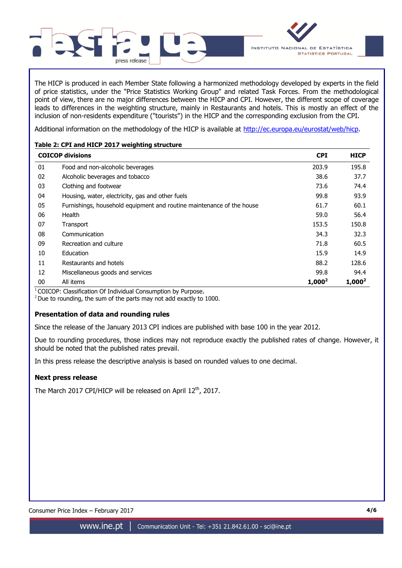

The HICP is produced in each Member State following a harmonized methodology developed by experts in the field of price statistics, under the "Price Statistics Working Group" and related Task Forces. From the methodological point of view, there are no major differences between the HICP and CPI. However, the different scope of coverage leads to differences in the weighting structure, mainly in Restaurants and hotels. This is mostly an effect of the inclusion of non-residents expenditure ("tourists") in the HICP and the corresponding exclusion from the CPI.

Additional information on the methodology of the HICP is available at [http://ec.europa.eu/eurostat/web/hicp.](http://ec.europa.eu/eurostat/web/hicp)

## **Table 2: CPI and HICP 2017 weighting structure**

|    | <b>COICOP divisions</b>                                               | <b>CPI</b> | <b>HICP</b> |
|----|-----------------------------------------------------------------------|------------|-------------|
| 01 | Food and non-alcoholic beverages                                      | 203.9      | 195.8       |
| 02 | Alcoholic beverages and tobacco                                       | 38.6       | 37.7        |
| 03 | Clothing and footwear                                                 | 73.6       | 74.4        |
| 04 | Housing, water, electricity, gas and other fuels                      | 99.8       | 93.9        |
| 05 | Furnishings, household equipment and routine maintenance of the house | 61.7       | 60.1        |
| 06 | Health                                                                | 59.0       | 56.4        |
| 07 | Transport                                                             | 153.5      | 150.8       |
| 08 | Communication                                                         | 34.3       | 32.3        |
| 09 | Recreation and culture                                                | 71.8       | 60.5        |
| 10 | Education                                                             | 15.9       | 14.9        |
| 11 | Restaurants and hotels                                                | 88.2       | 128.6       |
| 12 | Miscellaneous goods and services                                      | 99.8       | 94.4        |
| 00 | All items                                                             | $1,000^2$  | $1,000^2$   |

 $1$ COICOP: Classification Of Individual Consumption by Purpose.

 $2$  Due to rounding, the sum of the parts may not add exactly to 1000.

## **Presentation of data and rounding rules**

Since the release of the January 2013 CPI indices are published with base 100 in the year 2012.

Due to rounding procedures, those indices may not reproduce exactly the published rates of change. However, it should be noted that the published rates prevail.

In this press release the descriptive analysis is based on rounded values to one decimal.

## **Next press release**

The March 2017 CPI/HICP will be released on April  $12<sup>th</sup>$ , 2017.

Consumer Price Index – February 2017 **4/6**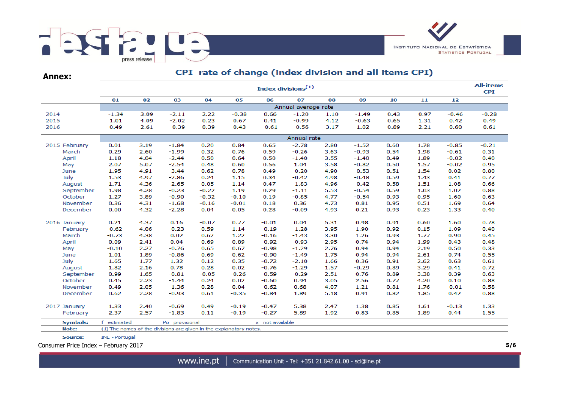

**Annex:**

# CPI rate of change (index division and all items CPI)

|      |                 |                |         |                                                                    |         |         |                 | Index divisions <sup>(1)</sup> |         |         |      |                 |         | <b>All-items</b><br><b>CPI</b> |  |  |
|------|-----------------|----------------|---------|--------------------------------------------------------------------|---------|---------|-----------------|--------------------------------|---------|---------|------|-----------------|---------|--------------------------------|--|--|
|      |                 | 01             | 02      | 03                                                                 | 04      | 05      | 06              | 07                             | 08      | 09      | 10   | 11              | 12      |                                |  |  |
|      |                 |                |         |                                                                    |         |         |                 | Annual average rate            |         |         |      |                 |         |                                |  |  |
| 2014 |                 | $-1.34$        | 3.09    | $-2.11$                                                            | 2.22    | $-0.38$ | 0.66            | $-1.20$                        | 1.10    | $-1.49$ | 0.43 | 0.97            | $-0.46$ | $-0.28$                        |  |  |
| 2015 |                 | 1.01           | 4.09    | $-2.02$                                                            | 0.23    | 0.67    | 0.41            | $-0.99$                        | 4.12    | $-0.63$ | 0.65 | 1.31            | 0.42    | 0.49                           |  |  |
| 2016 |                 | 0.49           | 2.61    | $-0.39$                                                            | 0.39    | 0.43    | $-0.61$         | $-0.56$                        | 3.17    | 1.02    | 0.89 | 2.21            | 0.60    | 0.61                           |  |  |
|      |                 | Annual rate    |         |                                                                    |         |         |                 |                                |         |         |      |                 |         |                                |  |  |
|      | 2015 February   | 0.01           | 3.19    | $-1.84$                                                            | 0.20    | 0.84    | 0.65            | $-2.78$                        | 2.80    | $-1.52$ | 0.60 | 1.78            | $-0.85$ | $-0.21$                        |  |  |
|      | March           | 0.29           | 2.60    | $-1.99$                                                            | 0.32    | 0.76    | 0.59            | $-0.26$                        | 3.63    | $-0.93$ | 0.54 | 1.98            | $-0.61$ | 0.31                           |  |  |
|      | April           | 1.18           | 4.04    | $-2.44$                                                            | 0.50    | 0.64    | 0.50            | $-1.40$                        | 3.55    | $-1.40$ | 0.49 | 1.89            | $-0.02$ | 0.40                           |  |  |
|      | May             | 2.07           | 5.07    | $-2.54$                                                            | 0.48    | 0.60    | 0.56            | 1.04                           | 3.58    | $-0.82$ | 0.50 | 1.57            | $-0.02$ | 0.95                           |  |  |
|      | June            | 1.95           | 4.91    | $-3.44$                                                            | 0.62    | 0.78    | 0.49            | $-0.20$                        | 4.90    | $-0.53$ | 0.51 | 1.54            | 0.02    | 0.80                           |  |  |
|      | July            | 1.53           | 4.97    | $-0.42$<br>$-2.86$<br>0.24<br>1.15<br>0.34                         |         |         |                 |                                | 4.98    | $-0.48$ | 0.59 | 1.43            | 0.41    | 0.77                           |  |  |
|      | August          | 1.71           | $-2.65$ | 0.05                                                               | 1.14    | 0.47    | $-1.83$         | 4.96                           | $-0.42$ | 0.58    | 1.51 | 1.08            | 0.66    |                                |  |  |
|      | September       | 1.98           | 4.28    | $-0.23$                                                            | $-0.22$ | 1.19    | 0.29            | $-1.11$                        | 5.53    | $-0.54$ | 0.59 | 1.03            | 1.02    | 0.88                           |  |  |
|      | October         | 1.27           | 3.89    | $-0.90$                                                            | $-0.32$ | $-0.10$ | 0.19            | $-0.85$                        | 4.77    | $-0.54$ | 0.93 | 0.95            | 1.60    | 0.63                           |  |  |
|      | November        | 0.36           | 4.31    | $-1.68$                                                            | $-0.16$ | $-0.01$ | 0.18            | 0.36                           | 4.73    | 0.81    | 0.95 | 0.51            | 1.69    | 0.64                           |  |  |
|      | December        | 0.00           | 4.32    | $-2.28$                                                            | 0.04    | 0.05    | 0.28            | $-0.09$                        | 4.93    | 0.21    | 0.93 | 0.23            | 1.33    | 0.40                           |  |  |
|      | 2016 January    | 0.21           | 4.37    | 0.16                                                               | $-0.07$ | 0.77    | $-0.01$         | 0.04                           | 5.31    | 0.98    | 0.91 | 0.60            | 1.60    | 0.78                           |  |  |
|      | February        | $-0.62$        | 4.06    | $-0.23$                                                            | 0.59    | 1.14    | $-0.19$         | $-1.28$                        | 3.95    | 1.90    | 0.92 | 0.15            | 1.09    | 0.40                           |  |  |
|      | March           | $-0.73$        | 4.38    | 0.02                                                               | 0.62    | 1.22    | $-0.16$         | $-1.43$                        | 3.30    | 1.26    | 0.93 | 1.77            | 0.90    | 0.45                           |  |  |
|      | April           | 0.09           | 2.41    | 0.04                                                               | 0.69    | 0.89    | $-0.92$         | $-0.93$                        | 2.95    | 0.74    | 0.94 | 1.99            | 0.43    | 0.48                           |  |  |
|      | May             | $-0.10$        | 2.27    | $-0.76$                                                            | 0.65    | 0.67    | $-0.98$         | $-1.29$                        | 2.76    | 0.94    | 0.94 | 2.19            | 0.50    | 0.33                           |  |  |
|      | June            | 1.01           | 1.89    | $-0.86$                                                            | 0.69    | 0.62    | $-0.90$         | $-1.49$                        | 1.75    | 0.94    | 0.94 | 2.61            | 0.74    | 0.55                           |  |  |
|      | July            | 1.65           | 1.77    | 1.32                                                               | 0.12    | 0.35    | $-0.72$         | $-2.10$                        | 1.66    | 0.36    | 0.91 | 2.62            | 0.63    | 0.61                           |  |  |
|      | August          | 1.82           | 2.16    | 0.78                                                               | 0.28    | 0.02    | $-0.76$         | $-1.29$                        | 1.57    | $-0.29$ | 0.89 | 3.29            | 0.41    | 0.72                           |  |  |
|      | September       | 0.99           | 1.65    | $-0.81$                                                            | $-0.05$ | $-0.26$ | $-0.59$         | $-0.29$                        | 2.51    | 0.76    | 0.89 | 3.38            | 0.39    | 0.63                           |  |  |
|      | October         | 0.45           | 2.23    | $-1.44$                                                            | 0.24    | 0.02    | $-0.60$         | 0.94                           | 3.05    | 2.56    | 0.77 | 4.20            | 0.10    | 0.88                           |  |  |
|      | November        | 0.49           | 2.05    | $-1.36$                                                            | 0.28    | 0.04    | $-0.62$         | 0.68                           | 4.07    | 1.21    | 0.81 | 1.76<br>$-0.01$ |         | 0.58                           |  |  |
|      | December        | 0.62           | 2.28    | $-0.93$                                                            | 0.61    | $-0.35$ | $-0.84$         | 1.89                           | 5.18    | 0.91    | 0.82 | 1.85            | 0.42    | 0.88                           |  |  |
|      | 2017 January    | 1.33           | 2.40    | $-0.69$                                                            | 0.49    | $-0.19$ | $-0.47$         | 5.38                           | 2.47    | 1.38    | 0.85 | 1.61            | $-0.13$ | 1.33                           |  |  |
|      | February        | 2.37           | 2.57    | $-1.83$                                                            | 0.11    | $-0.19$ | $-0.27$         | 5.89                           | 1.92    | 0.83    | 0.85 | 1.89            | 0.44    | 1.55                           |  |  |
|      | <b>Symbols:</b> | f estimated    |         | Po provisional                                                     |         |         | x not available |                                |         |         |      |                 |         |                                |  |  |
|      | Note:           |                |         | (1) The names of the divisions are given in the explanatory notes. |         |         |                 |                                |         |         |      |                 |         |                                |  |  |
|      | Source:         | INE - Portugal |         |                                                                    |         |         |                 |                                |         |         |      |                 |         |                                |  |  |

www.ine.pt |